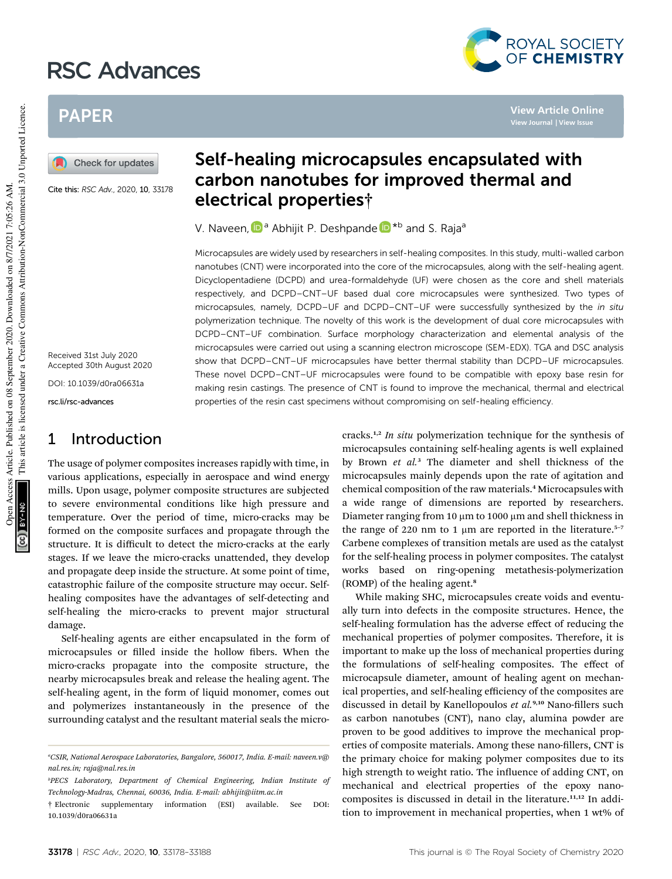# RSC Advances



**View Article Online View Journal | View Issue**

# PAPER

Check for updates

Cite this: RSC Adv., 2020, 10, 33178

Received 31st July 2020 Accepted 30th August 2020

DOI: 10.1039/d0ra06631a

rsc.li/rsc-advances

## 1 Introduction

The usage of polymer composites increases rapidly with time, in various applications, especially in aerospace and wind energy mills. Upon usage, polymer composite structures are subjected to severe environmental conditions like high pressure and temperature. Over the period of time, micro-cracks may be formed on the composite surfaces and propagate through the structure. It is difficult to detect the micro-cracks at the early stages. If we leave the micro-cracks unattended, they develop and propagate deep inside the structure. At some point of time, catastrophic failure of the composite structure may occur. Selfhealing composites have the advantages of self-detecting and self-healing the micro-cracks to prevent major structural damage.

Self-healing agents are either encapsulated in the form of microcapsules or filled inside the hollow fibers. When the micro-cracks propagate into the composite structure, the nearby microcapsules break and release the healing agent. The self-healing agent, in the form of liquid monomer, comes out and polymerizes instantaneously in the presence of the surrounding catalyst and the resultant material seals the micro-

# Self-healing microcapsules encapsulated with carbon nanotubes for improved thermal and electrical properties†

V. Naveen, D<sup>a</sup> Abhijit P. Deshpande D<sup>\*b</sup> and S. Raja<sup>a</sup>

Microcapsules are widely used by researchers in self-healing composites. In this study, multi-walled carbon nanotubes (CNT) were incorporated into the core of the microcapsules, along with the self-healing agent. Dicyclopentadiene (DCPD) and urea-formaldehyde (UF) were chosen as the core and shell materials respectively, and DCPD–CNT–UF based dual core microcapsules were synthesized. Two types of microcapsules, namely, DCPD–UF and DCPD–CNT–UF were successfully synthesized by the in situ polymerization technique. The novelty of this work is the development of dual core microcapsules with DCPD–CNT–UF combination. Surface morphology characterization and elemental analysis of the microcapsules were carried out using a scanning electron microscope (SEM-EDX). TGA and DSC analysis show that DCPD–CNT–UF microcapsules have better thermal stability than DCPD–UF microcapsules. These novel DCPD–CNT–UF microcapsules were found to be compatible with epoxy base resin for making resin castings. The presence of CNT is found to improve the mechanical, thermal and electrical properties of the resin cast specimens without compromising on self-healing efficiency.

> cracks.1,2 *In situ* polymerization technique for the synthesis of microcapsules containing self-healing agents is well explained by Brown *et al.*<sup>3</sup> The diameter and shell thickness of the microcapsules mainly depends upon the rate of agitation and chemical composition of the raw materials.<sup>4</sup> Microcapsules with a wide range of dimensions are reported by researchers. Diameter ranging from 10  $\mu$ m to 1000  $\mu$ m and shell thickness in the range of 220 nm to 1  $\mu$ m are reported in the literature.<sup>5-7</sup> Carbene complexes of transition metals are used as the catalyst for the self-healing process in polymer composites. The catalyst works based on ring-opening metathesis-polymerization (ROMP) of the healing agent.<sup>8</sup>

> While making SHC, microcapsules create voids and eventually turn into defects in the composite structures. Hence, the self-healing formulation has the adverse effect of reducing the mechanical properties of polymer composites. Therefore, it is important to make up the loss of mechanical properties during the formulations of self-healing composites. The effect of microcapsule diameter, amount of healing agent on mechanical properties, and self-healing efficiency of the composites are discussed in detail by Kanellopoulos et al.<sup>9,10</sup> Nano-fillers such as carbon nanotubes (CNT), nano clay, alumina powder are proven to be good additives to improve the mechanical properties of composite materials. Among these nano-fillers, CNT is the primary choice for making polymer composites due to its high strength to weight ratio. The influence of adding CNT, on mechanical and electrical properties of the epoxy nanocomposites is discussed in detail in the literature.<sup>11,12</sup> In addition to improvement in mechanical properties, when 1 wt% of

*<sup>a</sup>CSIR, National Aerospace Laboratories, Bangalore, 560017, India. E-mail: naveen.v@ nal.res.in; raja@nal.res.in*

*<sup>b</sup>PECS Laboratory, Department of Chemical Engineering, Indian Institute of Technology-Madras, Chennai, 60036, India. E-mail: abhijit@iitm.ac.in*

<sup>†</sup> Electronic supplementary information (ESI) available. See DOI: 10.1039/d0ra06631a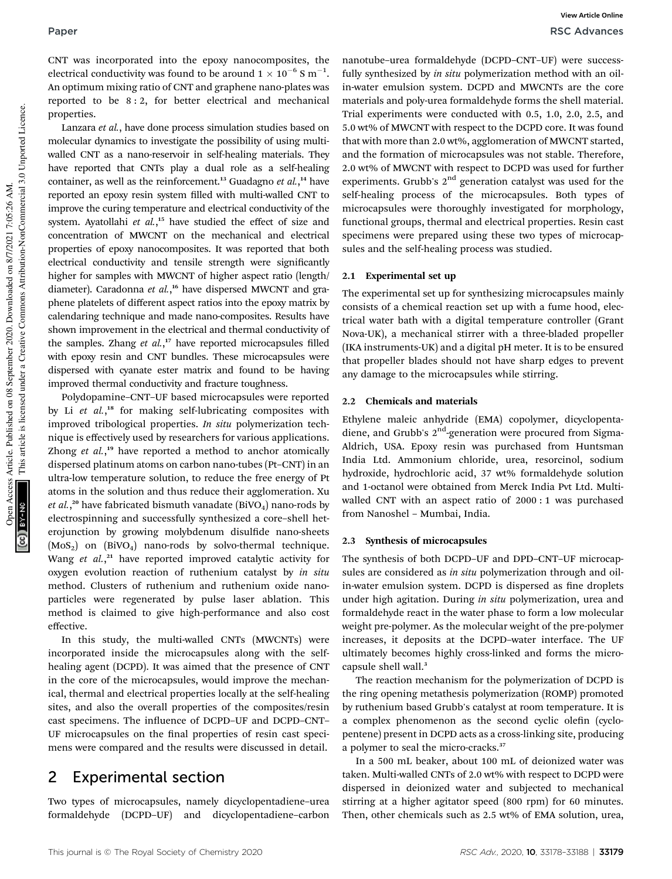CNT was incorporated into the epoxy nanocomposites, the electrical conductivity was found to be around 1  $\times$  10<sup>–6</sup> S m<sup>–1</sup>. An optimum mixing ratio of CNT and graphene nano-plates was reported to be 8 : 2, for better electrical and mechanical properties.

Lanzara *et al.*, have done process simulation studies based on molecular dynamics to investigate the possibility of using multiwalled CNT as a nano-reservoir in self-healing materials. They have reported that CNTs play a dual role as a self-healing container, as well as the reinforcement.<sup>13</sup> Guadagno et al.,<sup>14</sup> have reported an epoxy resin system filled with multi-walled CNT to improve the curing temperature and electrical conductivity of the system. Ayatollahi *et al.*, <sup>15</sup> have studied the effect of size and concentration of MWCNT on the mechanical and electrical properties of epoxy nanocomposites. It was reported that both electrical conductivity and tensile strength were significantly higher for samples with MWCNT of higher aspect ratio (length/ diameter). Caradonna *et al.*, <sup>16</sup> have dispersed MWCNT and graphene platelets of different aspect ratios into the epoxy matrix by calendaring technique and made nano-composites. Results have shown improvement in the electrical and thermal conductivity of the samples. Zhang et al.,<sup>17</sup> have reported microcapsules filled with epoxy resin and CNT bundles. These microcapsules were dispersed with cyanate ester matrix and found to be having improved thermal conductivity and fracture toughness.

Polydopamine–CNT–UF based microcapsules were reported by Li et al.,<sup>18</sup> for making self-lubricating composites with improved tribological properties. *In situ* polymerization technique is effectively used by researchers for various applications. Zhong *et al.*, <sup>19</sup> have reported a method to anchor atomically dispersed platinum atoms on carbon nano-tubes (Pt–CNT) in an ultra-low temperature solution, to reduce the free energy of Pt atoms in the solution and thus reduce their agglomeration. Xu *et al.*,<sup>20</sup> have fabricated bismuth vanadate (BiVO<sub>4</sub>) nano-rods by electrospinning and successfully synthesized a core–shell heterojunction by growing molybdenum disulfide nano-sheets  $(MoS<sub>2</sub>)$  on  $(BIVO<sub>4</sub>)$  nano-rods by solvo-thermal technique. Wang et al.,<sup>21</sup> have reported improved catalytic activity for oxygen evolution reaction of ruthenium catalyst by *in situ* method. Clusters of ruthenium and ruthenium oxide nanoparticles were regenerated by pulse laser ablation. This method is claimed to give high-performance and also cost effective.

In this study, the multi-walled CNTs (MWCNTs) were incorporated inside the microcapsules along with the selfhealing agent (DCPD). It was aimed that the presence of CNT in the core of the microcapsules, would improve the mechanical, thermal and electrical properties locally at the self-healing sites, and also the overall properties of the composites/resin cast specimens. The influence of DCPD-UF and DCPD-CNT-UF microcapsules on the final properties of resin cast specimens were compared and the results were discussed in detail.

## 2 Experimental section

Two types of microcapsules, namely dicyclopentadiene–urea formaldehyde (DCPD–UF) and dicyclopentadiene–carbon nanotube–urea formaldehyde (DCPD–CNT–UF) were successfully synthesized by *in situ* polymerization method with an oilin-water emulsion system. DCPD and MWCNTs are the core materials and poly-urea formaldehyde forms the shell material. Trial experiments were conducted with 0.5, 1.0, 2.0, 2.5, and 5.0 wt% of MWCNT with respect to the DCPD core. It was found that with more than 2.0 wt%, agglomeration of MWCNT started, and the formation of microcapsules was not stable. Therefore, 2.0 wt% of MWCNT with respect to DCPD was used for further experiments. Grubb's  $2<sup>nd</sup>$  generation catalyst was used for the self-healing process of the microcapsules. Both types of microcapsules were thoroughly investigated for morphology, functional groups, thermal and electrical properties. Resin cast specimens were prepared using these two types of microcapsules and the self-healing process was studied.

## 2.1 Experimental set up

The experimental set up for synthesizing microcapsules mainly consists of a chemical reaction set up with a fume hood, electrical water bath with a digital temperature controller (Grant Nova-UK), a mechanical stirrer with a three-bladed propeller (IKA instruments-UK) and a digital pH meter. It is to be ensured that propeller blades should not have sharp edges to prevent any damage to the microcapsules while stirring.

## 2.2 Chemicals and materials

Ethylene maleic anhydride (EMA) copolymer, dicyclopentadiene, and Grubb's 2<sup>nd</sup>-generation were procured from Sigma-Aldrich, USA. Epoxy resin was purchased from Huntsman India Ltd. Ammonium chloride, urea, resorcinol, sodium hydroxide, hydrochloric acid, 37 wt% formaldehyde solution and 1-octanol were obtained from Merck India Pvt Ltd. Multiwalled CNT with an aspect ratio of 2000 : 1 was purchased from Nanoshel – Mumbai, India.

## 2.3 Synthesis of microcapsules

The synthesis of both DCPD–UF and DPD–CNT–UF microcapsules are considered as *in situ* polymerization through and oilin-water emulsion system. DCPD is dispersed as fine droplets under high agitation. During *in situ* polymerization, urea and formaldehyde react in the water phase to form a low molecular weight pre-polymer. As the molecular weight of the pre-polymer increases, it deposits at the DCPD–water interface. The UF ultimately becomes highly cross-linked and forms the microcapsule shell wall.<sup>3</sup>

The reaction mechanism for the polymerization of DCPD is the ring opening metathesis polymerization (ROMP) promoted by ruthenium based Grubb's catalyst at room temperature. It is a complex phenomenon as the second cyclic olefin (cyclopentene) present in DCPD acts as a cross-linking site, producing a polymer to seal the micro-cracks.<sup>37</sup>

In a 500 mL beaker, about 100 mL of deionized water was taken. Multi-walled CNTs of 2.0 wt% with respect to DCPD were dispersed in deionized water and subjected to mechanical stirring at a higher agitator speed (800 rpm) for 60 minutes. Then, other chemicals such as 2.5 wt% of EMA solution, urea,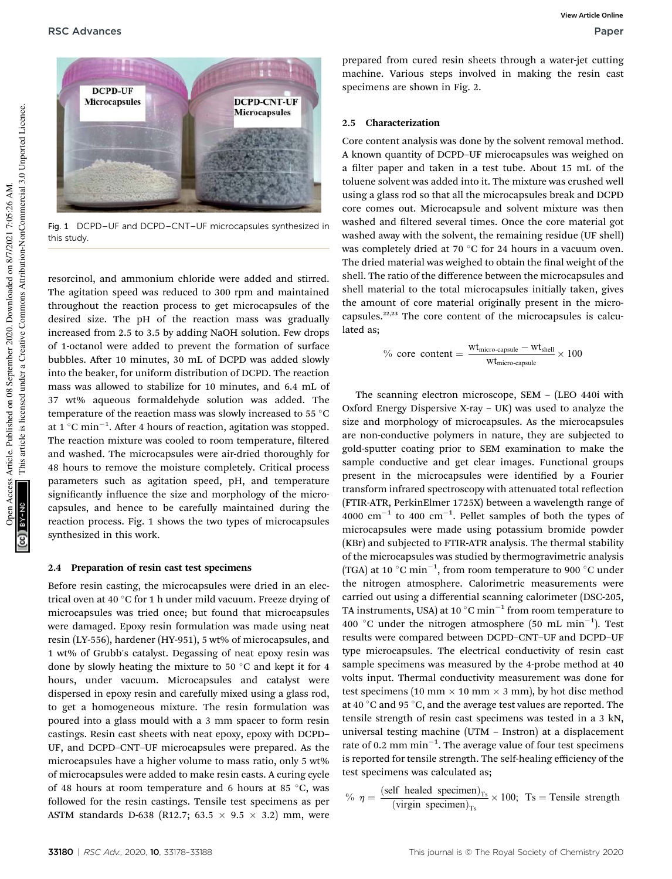

Fig. 1 DCPD–UF and DCPD–CNT–UF microcapsules synthesized in this study.

resorcinol, and ammonium chloride were added and stirred. The agitation speed was reduced to 300 rpm and maintained throughout the reaction process to get microcapsules of the desired size. The pH of the reaction mass was gradually increased from 2.5 to 3.5 by adding NaOH solution. Few drops of 1-octanol were added to prevent the formation of surface bubbles. After 10 minutes, 30 mL of DCPD was added slowly into the beaker, for uniform distribution of DCPD. The reaction mass was allowed to stabilize for 10 minutes, and 6.4 mL of 37 wt% aqueous formaldehyde solution was added. The temperature of the reaction mass was slowly increased to 55 °C at 1  $^{\circ} \mathrm{C}$  min $^{-1}$ . After 4 hours of reaction, agitation was stopped. The reaction mixture was cooled to room temperature, filtered and washed. The microcapsules were air-dried thoroughly for 48 hours to remove the moisture completely. Critical process parameters such as agitation speed, pH, and temperature significantly influence the size and morphology of the microcapsules, and hence to be carefully maintained during the reaction process. Fig. 1 shows the two types of microcapsules synthesized in this work.

### 2.4 Preparation of resin cast test specimens

Before resin casting, the microcapsules were dried in an electrical oven at 40 °C for 1 h under mild vacuum. Freeze drying of microcapsules was tried once; but found that microcapsules were damaged. Epoxy resin formulation was made using neat resin (LY-556), hardener (HY-951), 5 wt% of microcapsules, and 1 wt% of Grubb's catalyst. Degassing of neat epoxy resin was done by slowly heating the mixture to 50 $\degree$ C and kept it for 4 hours, under vacuum. Microcapsules and catalyst were dispersed in epoxy resin and carefully mixed using a glass rod, to get a homogeneous mixture. The resin formulation was poured into a glass mould with a 3 mm spacer to form resin castings. Resin cast sheets with neat epoxy, epoxy with DCPD– UF, and DCPD–CNT–UF microcapsules were prepared. As the microcapsules have a higher volume to mass ratio, only 5 wt% of microcapsules were added to make resin casts. A curing cycle of 48 hours at room temperature and 6 hours at 85  $^{\circ}$ C, was followed for the resin castings. Tensile test specimens as per ASTM standards D-638 (R12.7; 63.5  $\times$  9.5  $\times$  3.2) mm, were

prepared from cured resin sheets through a water-jet cutting machine. Various steps involved in making the resin cast specimens are shown in Fig. 2.

### 2.5 Characterization

Core content analysis was done by the solvent removal method. A known quantity of DCPD–UF microcapsules was weighed on a filter paper and taken in a test tube. About 15 mL of the toluene solvent was added into it. The mixture was crushed well using a glass rod so that all the microcapsules break and DCPD core comes out. Microcapsule and solvent mixture was then washed and filtered several times. Once the core material got washed away with the solvent, the remaining residue (UF shell) was completely dried at 70  $\degree$ C for 24 hours in a vacuum oven. The dried material was weighed to obtain the final weight of the shell. The ratio of the difference between the microcapsules and shell material to the total microcapsules initially taken, gives the amount of core material originally present in the microcapsules.22,23 The core content of the microcapsules is calculated as;

$$
\% \text{ core content} = \frac{\text{wt}_{\text{micro-capsule}} - \text{wt}_{\text{shell}}}{\text{wt}_{\text{micro-capsule}}} \times 100
$$

The scanning electron microscope, SEM – (LEO 440i with Oxford Energy Dispersive X-ray – UK) was used to analyze the size and morphology of microcapsules. As the microcapsules are non-conductive polymers in nature, they are subjected to gold-sputter coating prior to SEM examination to make the sample conductive and get clear images. Functional groups present in the microcapsules were identified by a Fourier transform infrared spectroscopy with attenuated total reflection (FTIR-ATR, PerkinElmer 1725X) between a wavelength range of  $4000 \text{ cm}^{-1}$  to  $400 \text{ cm}^{-1}$ . Pellet samples of both the types of microcapsules were made using potassium bromide powder (KBr) and subjected to FTIR-ATR analysis. The thermal stability of the microcapsules was studied by thermogravimetric analysis (TGA) at 10  $^{\circ}$ C min<sup>-1</sup>, from room temperature to 900  $^{\circ}$ C under the nitrogen atmosphere. Calorimetric measurements were carried out using a differential scanning calorimeter (DSC-205, TA instruments, USA) at 10  $^{\circ} \mathrm{C}$  min $^{-1}$  from room temperature to 400 °C under the nitrogen atmosphere  $(50 \text{ mL min}^{-1})$ . Test results were compared between DCPD–CNT–UF and DCPD–UF type microcapsules. The electrical conductivity of resin cast sample specimens was measured by the 4-probe method at 40 volts input. Thermal conductivity measurement was done for test specimens (10 mm  $\times$  10 mm  $\times$  3 mm), by hot disc method at 40 $\degree$ C and 95 $\degree$ C, and the average test values are reported. The tensile strength of resin cast specimens was tested in a 3 kN, universal testing machine (UTM – Instron) at a displacement rate of 0.2 mm  $min^{-1}$ . The average value of four test specimens is reported for tensile strength. The self-healing efficiency of the test specimens was calculated as;

$$
\% \eta = \frac{\text{(self headed specimen)}_{\text{Ts}}}{\text{(virgin specimen)}_{\text{Ts}}} \times 100; \text{Ts} = \text{Tensile strength}
$$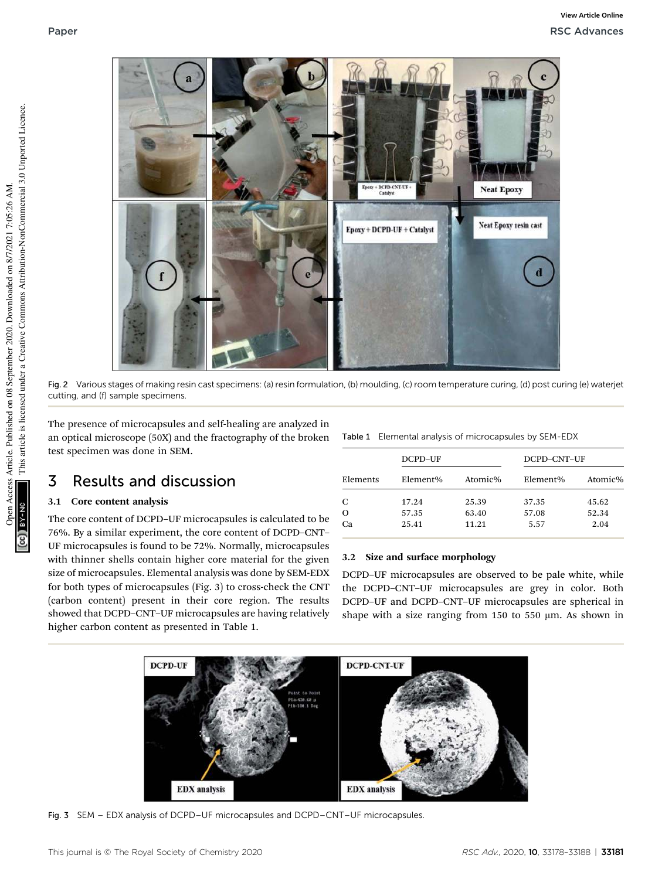

Fig. 2 Various stages of making resin cast specimens: (a) resin formulation, (b) moulding, (c) room temperature curing, (d) post curing (e) waterjet cutting, and (f) sample specimens.

The presence of microcapsules and self-healing are analyzed in an optical microscope (50X) and the fractography of the broken test specimen was done in SEM.

# 3 Results and discussion

## 3.1 Core content analysis

The core content of DCPD–UF microcapsules is calculated to be 76%. By a similar experiment, the core content of DCPD–CNT– UF microcapsules is found to be 72%. Normally, microcapsules with thinner shells contain higher core material for the given size of microcapsules. Elemental analysis was done by SEM-EDX for both types of microcapsules (Fig. 3) to cross-check the CNT (carbon content) present in their core region. The results showed that DCPD–CNT–UF microcapsules are having relatively higher carbon content as presented in Table 1.

|  |  |  |  | Table 1 Elemental analysis of microcapsules by SEM-EDX |  |  |  |
|--|--|--|--|--------------------------------------------------------|--|--|--|
|--|--|--|--|--------------------------------------------------------|--|--|--|

|          | DCPD-UF  |         | DCPD-CNT-UF |         |  |
|----------|----------|---------|-------------|---------|--|
| Elements | Element% | Atomic% | Element%    | Atomic% |  |
| C        | 17.24    | 25.39   | 37.35       | 45.62   |  |
| $\Omega$ | 57.35    | 63.40   | 57.08       | 52.34   |  |
| Ca       | 25.41    | 11.21   | 5.57        | 2.04    |  |

## 3.2 Size and surface morphology

DCPD–UF microcapsules are observed to be pale white, while the DCPD–CNT–UF microcapsules are grey in color. Both DCPD–UF and DCPD–CNT–UF microcapsules are spherical in shape with a size ranging from 150 to 550  $\mu$ m. As shown in



Fig. 3 SEM – EDX analysis of DCPD–UF microcapsules and DCPD–CNT–UF microcapsules.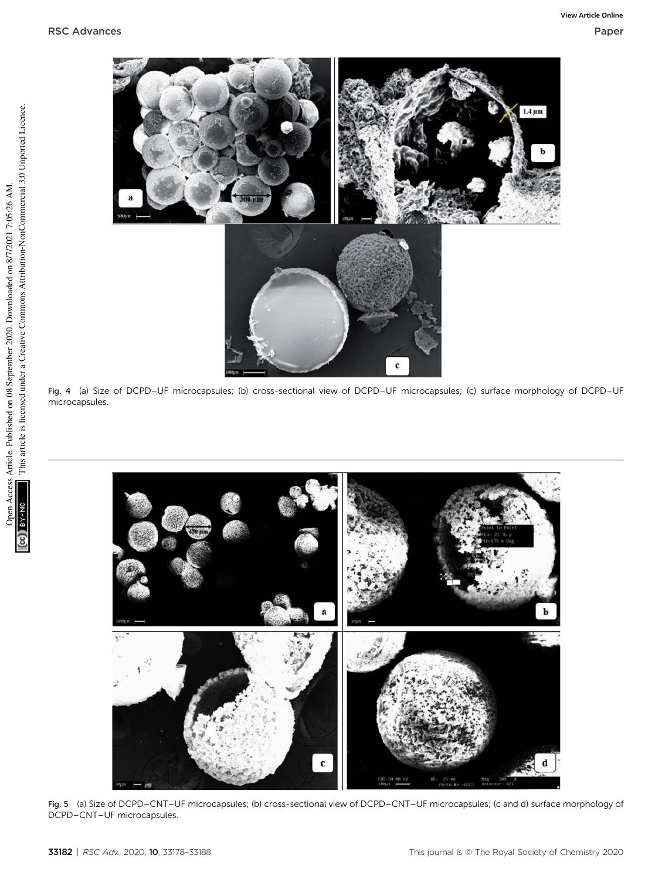

Fig. 4 (a) Size of DCPD–UF microcapsules; (b) cross-sectional view of DCPD–UF microcapsules; (c) surface morphology of DCPD–UF microcapsules.



Fig. 5 (a) Size of DCPD–CNT–UF microcapsules; (b) cross-sectional view of DCPD–CNT–UF microcapsules; (c and d) surface morphology of DCPD–CNT–UF microcapsules.

g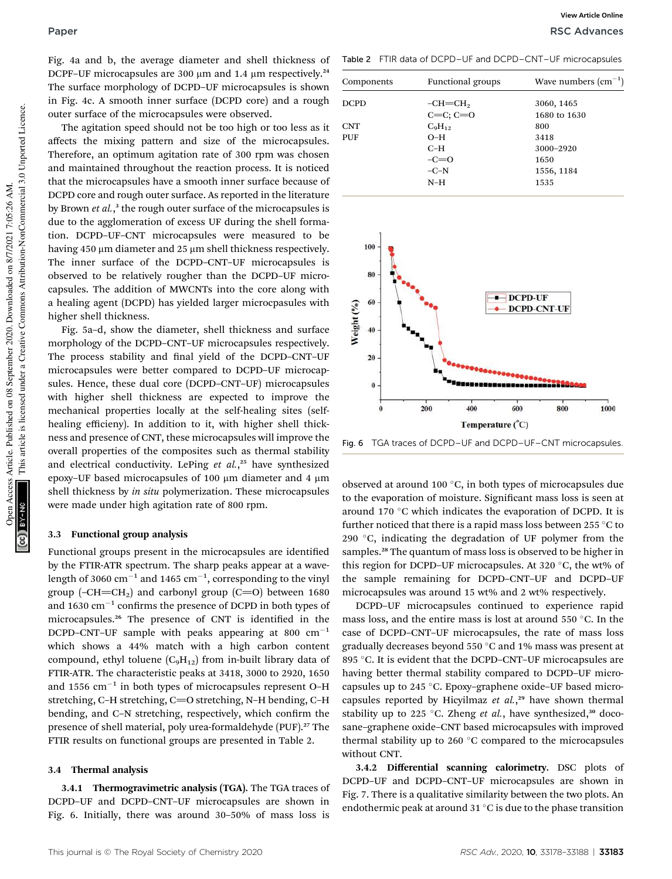## Paper RSC Advances and the contract of the contract of the contract of the contract of the contract of the contract of the contract of the contract of the contract of the contract of the contract of the contract of the con

Fig. 4a and b, the average diameter and shell thickness of DCPF-UF microcapsules are 300  $\mu$ m and 1.4  $\mu$ m respectively.<sup>24</sup> The surface morphology of DCPD–UF microcapsules is shown in Fig. 4c. A smooth inner surface (DCPD core) and a rough outer surface of the microcapsules were observed.

The agitation speed should not be too high or too less as it affects the mixing pattern and size of the microcapsules. Therefore, an optimum agitation rate of 300 rpm was chosen and maintained throughout the reaction process. It is noticed that the microcapsules have a smooth inner surface because of DCPD core and rough outer surface. As reported in the literature by Brown *et al.*, 3 the rough outer surface of the microcapsules is due to the agglomeration of excess UF during the shell formation. DCPD–UF–CNT microcapsules were measured to be having 450 µm diameter and 25 µm shell thickness respectively. The inner surface of the DCPD–CNT–UF microcapsules is observed to be relatively rougher than the DCPD–UF microcapsules. The addition of MWCNTs into the core along with a healing agent (DCPD) has yielded larger microcpasules with higher shell thickness.

Fig. 5a–d, show the diameter, shell thickness and surface morphology of the DCPD–CNT–UF microcapsules respectively. The process stability and final yield of the DCPD-CNT-UF microcapsules were better compared to DCPD–UF microcapsules. Hence, these dual core (DCPD–CNT–UF) microcapsules with higher shell thickness are expected to improve the mechanical properties locally at the self-healing sites (selfhealing efficieny). In addition to it, with higher shell thickness and presence of CNT, these microcapsules will improve the overall properties of the composites such as thermal stability and electrical conductivity. LePing *et al.*, <sup>25</sup> have synthesized epoxy-UF based microcapsules of 100 µm diameter and 4 µm shell thickness by *in situ* polymerization. These microcapsules were made under high agitation rate of 800 rpm.

### 3.3 Functional group analysis

Functional groups present in the microcapsules are identified by the FTIR-ATR spectrum. The sharp peaks appear at a wavelength of 3060  $\rm cm^{-1}$  and 1465  $\rm cm^{-1}$ , corresponding to the vinyl group (-CH=CH<sub>2</sub>) and carbonyl group (C=O) between 1680 and 1630  $\mathrm{cm}^{-1}$  confirms the presence of DCPD in both types of microcapsules.<sup>26</sup> The presence of CNT is identified in the DCPD–CNT–UF sample with peaks appearing at 800  $cm^{-1}$ which shows a 44% match with a high carbon content compound, ethyl toluene  $(C_9H_{12})$  from in-built library data of FTIR-ATR. The characteristic peaks at 3418, 3000 to 2920, 1650 and 1556  $\text{cm}^{-1}$  in both types of microcapsules represent O-H stretching, C–H stretching, C=O stretching, N–H bending, C–H bending, and C-N stretching, respectively, which confirm the presence of shell material, poly urea-formaldehyde (PUF).<sup>27</sup> The FTIR results on functional groups are presented in Table 2.

## 3.4 Thermal analysis

3.4.1 Thermogravimetric analysis (TGA). The TGA traces of DCPD–UF and DCPD–CNT–UF microcapsules are shown in Fig. 6. Initially, there was around 30–50% of mass loss is

Table 2 FTIR data of DCPD–UF and DCPD–CNT–UF microcapsules

**View Article Online**

| Components  | <b>Functional groups</b> | Wave numbers $\text{cm}^{-1}$ ) |
|-------------|--------------------------|---------------------------------|
| <b>DCPD</b> | $-CH = CH2$              | 3060, 1465                      |
|             | $C=C: C=O$               | 1680 to 1630                    |
| <b>CNT</b>  | $C_9H_{12}$              | 800                             |
| PUF         | $O-H$                    | 3418                            |
|             | $C-H$                    | 3000-2920                       |
|             | $-c=0$                   | 1650                            |
|             | $-C-N$                   | 1556, 1184                      |
|             | $N-H$                    | 1535                            |



Fig. 6 TGA traces of DCPD–UF and DCPD–UF–CNT microcapsules.

observed at around 100 $\degree$ C, in both types of microcapsules due to the evaporation of moisture. Significant mass loss is seen at around 170  $\degree$ C which indicates the evaporation of DCPD. It is further noticed that there is a rapid mass loss between 255  $\degree$ C to 290  $\degree$ C, indicating the degradation of UF polymer from the samples.<sup>28</sup> The quantum of mass loss is observed to be higher in this region for DCPD–UF microcapsules. At 320  $\degree$ C, the wt% of the sample remaining for DCPD–CNT–UF and DCPD–UF microcapsules was around 15 wt% and 2 wt% respectively.

DCPD–UF microcapsules continued to experience rapid mass loss, and the entire mass is lost at around 550  $\degree$ C. In the case of DCPD–CNT–UF microcapsules, the rate of mass loss gradually decreases beyond 550  $\degree$ C and 1% mass was present at 895 °C. It is evident that the DCPD-CNT-UF microcapsules are having better thermal stability compared to DCPD–UF microcapsules up to 245 °C. Epoxy-graphene oxide-UF based microcapsules reported by Hicyilmaz *et al.*, <sup>29</sup> have shown thermal stability up to 225 °C. Zheng et al., have synthesized,<sup>30</sup> docosane–graphene oxide–CNT based microcapsules with improved thermal stability up to 260 $\degree$ C compared to the microcapsules without CNT.

3.4.2 Differential scanning calorimetry. DSC plots of DCPD–UF and DCPD–CNT–UF microcapsules are shown in Fig. 7. There is a qualitative similarity between the two plots. An endothermic peak at around 31 $^{\circ}$ C is due to the phase transition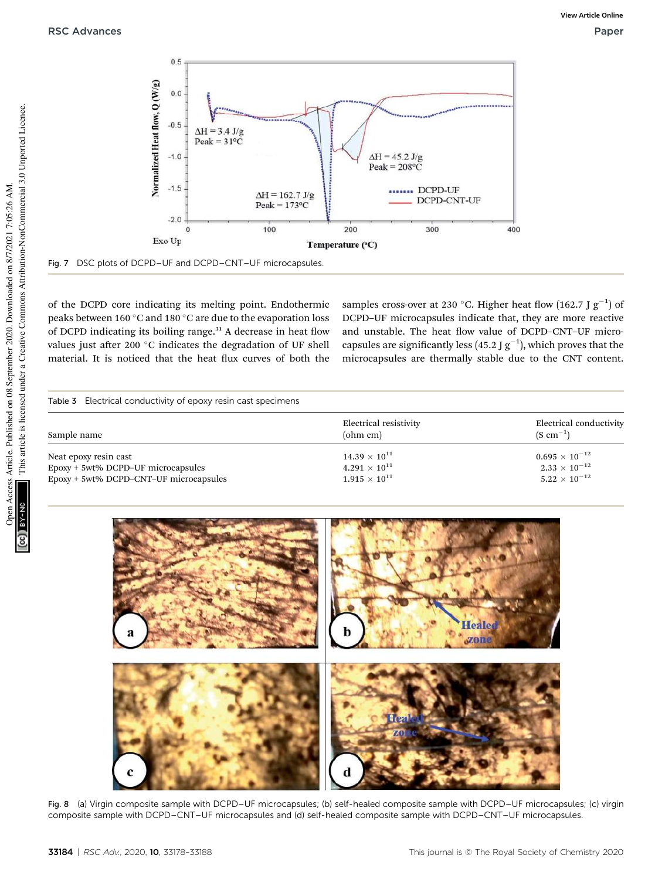

Fig. 7 DSC plots of DCPD–UF and DCPD–CNT–UF microcapsules.

of the DCPD core indicating its melting point. Endothermic peaks between 160  $^{\circ}$ C and 180  $^{\circ}$ C are due to the evaporation loss of DCPD indicating its boiling range.<sup>31</sup> A decrease in heat flow values just after 200  $^{\circ}$ C indicates the degradation of UF shell material. It is noticed that the heat flux curves of both the

samples cross-over at 230 °C. Higher heat flow (162.7 J  $g^{-1}$ ) of DCPD–UF microcapsules indicate that, they are more reactive and unstable. The heat flow value of DCPD-CNT-UF microcapsules are significantly less (45.2 J  $g^{-1}$ ), which proves that the microcapsules are thermally stable due to the CNT content.

| Sample name                            | Electrical resistivity<br>(ohm cm) | Electrical conductivity<br>$(S \text{ cm}^{-1})$ |
|----------------------------------------|------------------------------------|--------------------------------------------------|
| Neat epoxy resin cast                  | $14.39 \times 10^{11}$             | $0.695\times10^{-12}$                            |
| Epoxy + 5wt% DCPD-UF microcapsules     | $4.291 \times 10^{11}$             | $2.33\times10^{-12}$                             |
| Epoxy + 5wt% DCPD-CNT-UF microcapsules | $1.915 \times 10^{11}$             | $5.22\times10^{-12}$                             |



Fig. 8 (a) Virgin composite sample with DCPD–UF microcapsules; (b) self-healed composite sample with DCPD–UF microcapsules; (c) virgin composite sample with DCPD–CNT–UF microcapsules and (d) self-healed composite sample with DCPD–CNT–UF microcapsules.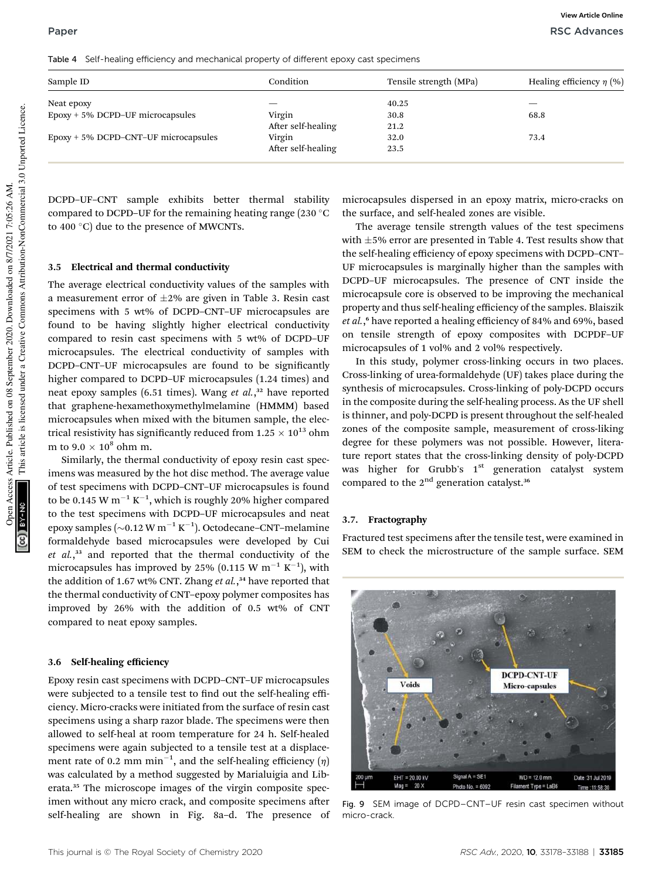| Sample ID                               | Condition          | Tensile strength (MPa) | Healing efficiency $\eta$ (%) |
|-----------------------------------------|--------------------|------------------------|-------------------------------|
| Neat epoxy                              |                    | 40.25                  |                               |
| $E$ poxy + 5% DCPD-UF microcapsules     | Virgin             | 30.8                   | 68.8                          |
|                                         | After self-healing | 21.2                   |                               |
| $E$ poxy + 5% DCPD-CNT-UF microcapsules | Virgin             | 32.0                   | 73.4                          |
|                                         | After self-healing | 23.5                   |                               |

DCPD–UF–CNT sample exhibits better thermal stability compared to DCPD–UF for the remaining heating range (230  $^{\circ}$ C to 400 $^{\circ}$ C) due to the presence of MWCNTs.

## 3.5 Electrical and thermal conductivity

The average electrical conductivity values of the samples with a measurement error of  $\pm 2\%$  are given in Table 3. Resin cast specimens with 5 wt% of DCPD–CNT–UF microcapsules are found to be having slightly higher electrical conductivity compared to resin cast specimens with 5 wt% of DCPD–UF microcapsules. The electrical conductivity of samples with DCPD-CNT-UF microcapsules are found to be significantly higher compared to DCPD–UF microcapsules (1.24 times) and neat epoxy samples (6.51 times). Wang *et al.*, <sup>32</sup> have reported that graphene-hexamethoxymethylmelamine (HMMM) based microcapsules when mixed with the bitumen sample, the electrical resistivity has significantly reduced from  $1.25 \times 10^{13}$  ohm m to  $9.0 \times 10^8$  ohm m.

Similarly, the thermal conductivity of epoxy resin cast specimens was measured by the hot disc method. The average value of test specimens with DCPD–CNT–UF microcapsules is found to be 0.145 W  $\mathrm{m}^{-1}$  K $^{-1}$ , which is roughly 20% higher compared to the test specimens with DCPD–UF microcapsules and neat epoxy samples ( $\sim$ 0.12 W m $^{-1}$  K $^{-1}$ ). Octodecane–CNT–melamine formaldehyde based microcapsules were developed by Cui *et al.*, <sup>33</sup> and reported that the thermal conductivity of the microcapsules has improved by 25% (0.115 W  $\text{m}^{-1}$  K<sup>-1</sup>), with the addition of 1.67 wt% CNT. Zhang *et al.*, <sup>34</sup> have reported that the thermal conductivity of CNT–epoxy polymer composites has improved by 26% with the addition of 0.5 wt% of CNT compared to neat epoxy samples.

#### 3.6 Self-healing efficiency

Epoxy resin cast specimens with DCPD–CNT–UF microcapsules were subjected to a tensile test to find out the self-healing efficiency. Micro-cracks were initiated from the surface of resin cast specimens using a sharp razor blade. The specimens were then allowed to self-heal at room temperature for 24 h. Self-healed specimens were again subjected to a tensile test at a displacement rate of 0.2 mm  $\text{min}^{-1}$ , and the self-healing efficiency  $(\eta)$ was calculated by a method suggested by Marialuigia and Liberata.<sup>35</sup> The microscope images of the virgin composite specimen without any micro crack, and composite specimens after self-healing are shown in Fig. 8a–d. The presence of microcapsules dispersed in an epoxy matrix, micro-cracks on the surface, and self-healed zones are visible.

The average tensile strength values of the test specimens with  $\pm$ 5% error are presented in Table 4. Test results show that the self-healing efficiency of epoxy specimens with DCPD–CNT– UF microcapsules is marginally higher than the samples with DCPD–UF microcapsules. The presence of CNT inside the microcapsule core is observed to be improving the mechanical property and thus self-healing efficiency of the samples. Blaiszik *et al.*, <sup>6</sup> have reported a healing efficiency of 84% and 69%, based on tensile strength of epoxy composites with DCPDF–UF microcapsules of 1 vol% and 2 vol% respectively.

In this study, polymer cross-linking occurs in two places. Cross-linking of urea-formaldehyde (UF) takes place during the synthesis of microcapsules. Cross-linking of poly-DCPD occurs in the composite during the self-healing process. As the UF shell is thinner, and poly-DCPD is present throughout the self-healed zones of the composite sample, measurement of cross-liking degree for these polymers was not possible. However, literature report states that the cross-linking density of poly-DCPD was higher for Grubb's  $1<sup>st</sup>$  generation catalyst system compared to the  $2<sup>nd</sup>$  generation catalyst.<sup>36</sup>

#### 3.7. Fractography

Fractured test specimens after the tensile test, were examined in SEM to check the microstructure of the sample surface. SEM



Fig. 9 SEM image of DCPD–CNT–UF resin cast specimen without micro-crack.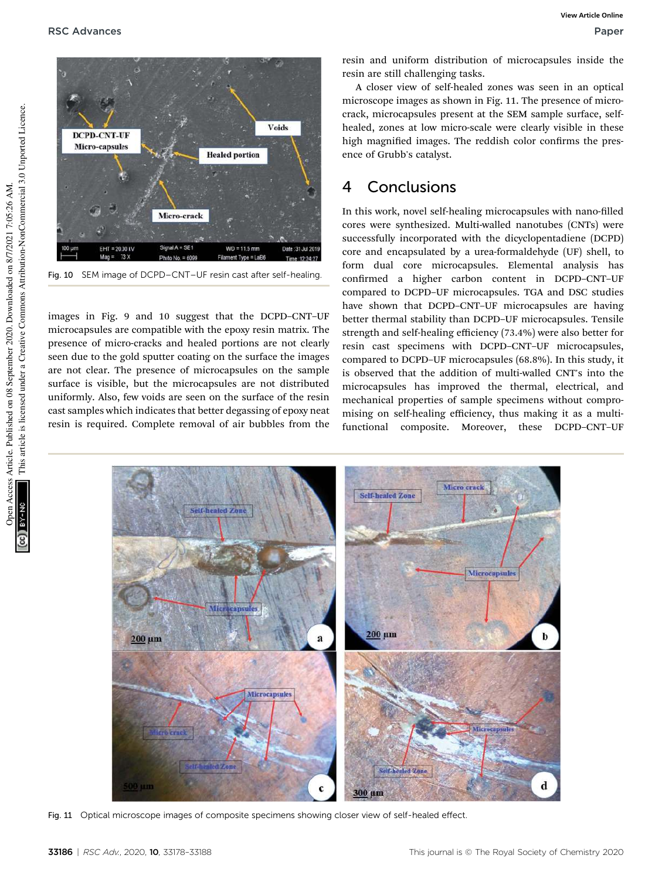

Fig. 10 SEM image of DCPD–CNT–UF resin cast after self-healing.

images in Fig. 9 and 10 suggest that the DCPD–CNT–UF microcapsules are compatible with the epoxy resin matrix. The presence of micro-cracks and healed portions are not clearly seen due to the gold sputter coating on the surface the images are not clear. The presence of microcapsules on the sample surface is visible, but the microcapsules are not distributed uniformly. Also, few voids are seen on the surface of the resin cast samples which indicates that better degassing of epoxy neat resin is required. Complete removal of air bubbles from the

resin and uniform distribution of microcapsules inside the resin are still challenging tasks.

A closer view of self-healed zones was seen in an optical microscope images as shown in Fig. 11. The presence of microcrack, microcapsules present at the SEM sample surface, selfhealed, zones at low micro-scale were clearly visible in these high magnified images. The reddish color confirms the presence of Grubb's catalyst.

# 4 Conclusions

In this work, novel self-healing microcapsules with nano-filled cores were synthesized. Multi-walled nanotubes (CNTs) were successfully incorporated with the dicyclopentadiene (DCPD) core and encapsulated by a urea-formaldehyde (UF) shell, to form dual core microcapsules. Elemental analysis has confirmed a higher carbon content in DCPD-CNT-UF compared to DCPD–UF microcapsules. TGA and DSC studies have shown that DCPD–CNT–UF microcapsules are having better thermal stability than DCPD–UF microcapsules. Tensile strength and self-healing efficiency (73.4%) were also better for resin cast specimens with DCPD–CNT–UF microcapsules, compared to DCPD–UF microcapsules (68.8%). In this study, it is observed that the addition of multi-walled CNT's into the microcapsules has improved the thermal, electrical, and mechanical properties of sample specimens without compromising on self-healing efficiency, thus making it as a multifunctional composite. Moreover, these DCPD–CNT–UF



Fig. 11 Optical microscope images of composite specimens showing closer view of self-healed effect.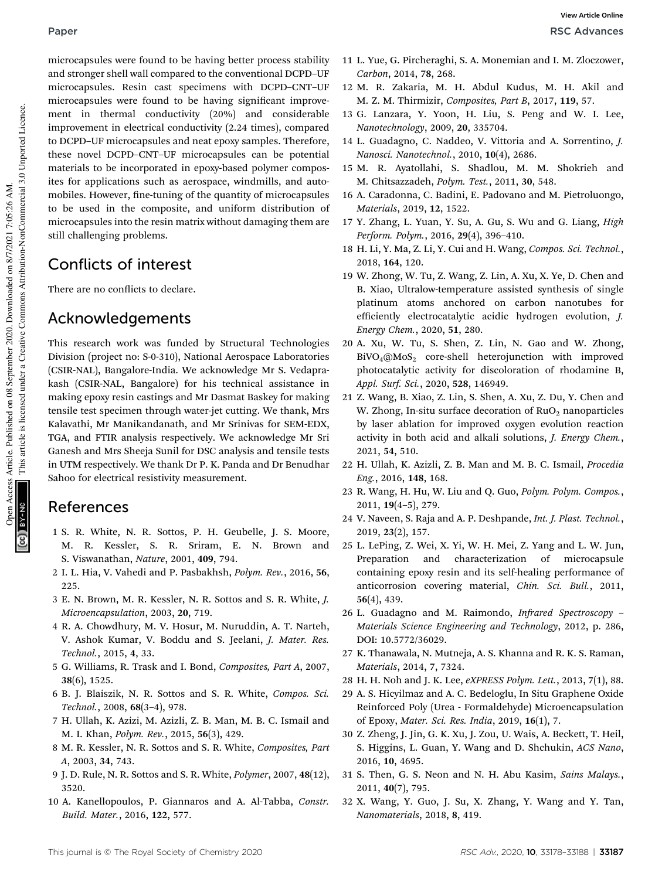microcapsules were found to be having better process stability and stronger shell wall compared to the conventional DCPD–UF microcapsules. Resin cast specimens with DCPD–CNT–UF microcapsules were found to be having significant improvement in thermal conductivity (20%) and considerable improvement in electrical conductivity (2.24 times), compared to DCPD–UF microcapsules and neat epoxy samples. Therefore, these novel DCPD–CNT–UF microcapsules can be potential materials to be incorporated in epoxy-based polymer composites for applications such as aerospace, windmills, and automobiles. However, fine-tuning of the quantity of microcapsules to be used in the composite, and uniform distribution of microcapsules into the resin matrix without damaging them are still challenging problems.

# Conflicts of interest

There are no conflicts to declare.

# Acknowledgements

This research work was funded by Structural Technologies Division (project no: S-0-310), National Aerospace Laboratories (CSIR-NAL), Bangalore-India. We acknowledge Mr S. Vedaprakash (CSIR-NAL, Bangalore) for his technical assistance in making epoxy resin castings and Mr Dasmat Baskey for making tensile test specimen through water-jet cutting. We thank, Mrs Kalavathi, Mr Manikandanath, and Mr Srinivas for SEM-EDX, TGA, and FTIR analysis respectively. We acknowledge Mr Sri Ganesh and Mrs Sheeja Sunil for DSC analysis and tensile tests in UTM respectively. We thank Dr P. K. Panda and Dr Benudhar Sahoo for electrical resistivity measurement.

## References

- 1 S. R. White, N. R. Sottos, P. H. Geubelle, J. S. Moore, M. R. Kessler, S. R. Sriram, E. N. Brown and S. Viswanathan, *Nature*, 2001, 409, 794.
- 2 I. L. Hia, V. Vahedi and P. Pasbakhsh, *Polym. Rev.*, 2016, 56, 225.
- 3 E. N. Brown, M. R. Kessler, N. R. Sottos and S. R. White, *J. Microencapsulation*, 2003, 20, 719.
- 4 R. A. Chowdhury, M. V. Hosur, M. Nuruddin, A. T. Narteh, V. Ashok Kumar, V. Boddu and S. Jeelani, *J. Mater. Res. Technol.*, 2015, 4, 33.
- 5 G. Williams, R. Trask and I. Bond, *Composites, Part A*, 2007, 38(6), 1525.
- 6 B. J. Blaiszik, N. R. Sottos and S. R. White, *Compos. Sci. Technol.*, 2008, 68(3–4), 978.
- 7 H. Ullah, K. Azizi, M. Azizli, Z. B. Man, M. B. C. Ismail and M. I. Khan, *Polym. Rev.*, 2015, 56(3), 429.
- 8 M. R. Kessler, N. R. Sottos and S. R. White, *Composites, Part A*, 2003, 34, 743.
- 9 J. D. Rule, N. R. Sottos and S. R. White, *Polymer*, 2007, 48(12), 3520.
- 10 A. Kanellopoulos, P. Giannaros and A. Al-Tabba, *Constr. Build. Mater.*, 2016, 122, 577.
- 11 L. Yue, G. Pircheraghi, S. A. Monemian and I. M. Zloczower, *Carbon*, 2014, 78, 268.
- 12 M. R. Zakaria, M. H. Abdul Kudus, M. H. Akil and M. Z. M. Thirmizir, *Composites, Part B*, 2017, 119, 57.
- 13 G. Lanzara, Y. Yoon, H. Liu, S. Peng and W. I. Lee, *Nanotechnology*, 2009, 20, 335704.
- 14 L. Guadagno, C. Naddeo, V. Vittoria and A. Sorrentino, *J. Nanosci. Nanotechnol.*, 2010, 10(4), 2686.
- 15 M. R. Ayatollahi, S. Shadlou, M. M. Shokrieh and M. Chitsazzadeh, *Polym. Test.*, 2011, 30, 548.
- 16 A. Caradonna, C. Badini, E. Padovano and M. Pietroluongo, *Materials*, 2019, 12, 1522.
- 17 Y. Zhang, L. Yuan, Y. Su, A. Gu, S. Wu and G. Liang, *High Perform. Polym.*, 2016, 29(4), 396–410.
- 18 H. Li, Y. Ma, Z. Li, Y. Cui and H. Wang, *Compos. Sci. Technol.*, 2018, 164, 120.
- 19 W. Zhong, W. Tu, Z. Wang, Z. Lin, A. Xu, X. Ye, D. Chen and B. Xiao, Ultralow-temperature assisted synthesis of single platinum atoms anchored on carbon nanotubes for efficiently electrocatalytic acidic hydrogen evolution, *J. Energy Chem.*, 2020, 51, 280.
- 20 A. Xu, W. Tu, S. Shen, Z. Lin, N. Gao and W. Zhong,  $BiVO<sub>4</sub>@MoS<sub>2</sub>$  core-shell heterojunction with improved photocatalytic activity for discoloration of rhodamine B, *Appl. Surf. Sci.*, 2020, 528, 146949.
- 21 Z. Wang, B. Xiao, Z. Lin, S. Shen, A. Xu, Z. Du, Y. Chen and W. Zhong, In-situ surface decoration of  $RuO<sub>2</sub>$  nanoparticles by laser ablation for improved oxygen evolution reaction activity in both acid and alkali solutions, *J. Energy Chem.*, 2021, 54, 510.
- 22 H. Ullah, K. Azizli, Z. B. Man and M. B. C. Ismail, *Procedia Eng.*, 2016, 148, 168.
- 23 R. Wang, H. Hu, W. Liu and Q. Guo, *Polym. Polym. Compos.*, 2011, 19(4–5), 279.
- 24 V. Naveen, S. Raja and A. P. Deshpande, *Int. J. Plast. Technol.*, 2019, 23(2), 157.
- 25 L. LePing, Z. Wei, X. Yi, W. H. Mei, Z. Yang and L. W. Jun, Preparation and characterization of microcapsule containing epoxy resin and its self-healing performance of anticorrosion covering material, *Chin. Sci. Bull.*, 2011, 56(4), 439.
- 26 L. Guadagno and M. Raimondo, *Infrared Spectroscopy Materials Science Engineering and Technology*, 2012, p. 286, DOI: 10.5772/36029.
- 27 K. Thanawala, N. Mutneja, A. S. Khanna and R. K. S. Raman, *Materials*, 2014, 7, 7324.
- 28 H. H. Noh and J. K. Lee, *eXPRESS Polym. Lett.*, 2013, 7(1), 88.
- 29 A. S. Hicyilmaz and A. C. Bedeloglu, In Situ Graphene Oxide Reinforced Poly (Urea - Formaldehyde) Microencapsulation of Epoxy, *Mater. Sci. Res. India*, 2019, 16(1), 7.
- 30 Z. Zheng, J. Jin, G. K. Xu, J. Zou, U. Wais, A. Beckett, T. Heil, S. Higgins, L. Guan, Y. Wang and D. Shchukin, *ACS Nano*, 2016, 10, 4695.
- 31 S. Then, G. S. Neon and N. H. Abu Kasim, *Sains Malays.*, 2011, 40(7), 795.
- 32 X. Wang, Y. Guo, J. Su, X. Zhang, Y. Wang and Y. Tan, *Nanomaterials*, 2018, 8, 419.